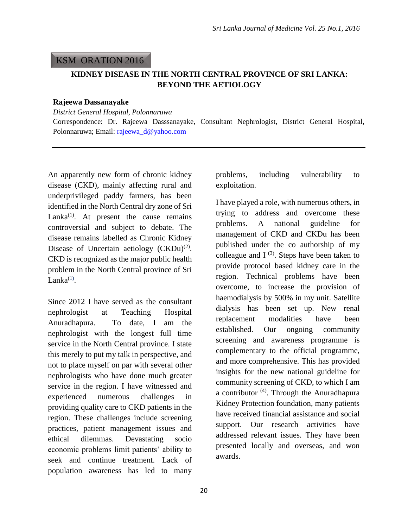## KSM ORATION 2016

## **KIDNEY DISEASE IN THE NORTH CENTRAL PROVINCE OF SRI LANKA: BEYOND THE AETIOLOGY**

#### **Rajeewa Dassanayake**

*District General Hospital, Polonnaruwa*

Correspondence: Dr. Rajeewa Dasssanayake, Consultant Nephrologist, District General Hospital, Polonnaruwa; Email: [rajeewa\\_d@yahoo.com](mailto:rajeewa_d@yahoo.com)

An apparently new form of chronic kidney disease (CKD), mainly affecting rural and underprivileged paddy farmers, has been identified in the North Central dry zone of Sri Lanka $^{(1)}$ . At present the cause remains controversial and subject to debate. The disease remains labelled as Chronic Kidney Disease of Uncertain aetiology  $(CKDu)^{(2)}$ . CKD is recognized as the major public health problem in the North Central province of Sri Lanka $^{(1)}$ .

Since 2012 I have served as the consultant nephrologist at Teaching Hospital Anuradhapura. To date, I am the nephrologist with the longest full time service in the North Central province. I state this merely to put my talk in perspective, and not to place myself on par with several other nephrologists who have done much greater service in the region. I have witnessed and experienced numerous challenges in providing quality care to CKD patients in the region. These challenges include screening practices, patient management issues and ethical dilemmas. Devastating socio economic problems limit patients' ability to seek and continue treatment. Lack of population awareness has led to many

problems, including vulnerability to exploitation.

I have played a role, with numerous others, in trying to address and overcome these problems. A national guideline for management of CKD and CKDu has been published under the co authorship of my colleague and  $I^{(3)}$ . Steps have been taken to provide protocol based kidney care in the region. Technical problems have been overcome, to increase the provision of haemodialysis by 500% in my unit. Satellite dialysis has been set up. New renal replacement modalities have been established. Our ongoing community screening and awareness programme is complementary to the official programme, and more comprehensive. This has provided insights for the new national guideline for community screening of CKD, to which I am a contributor<sup>(4)</sup>. Through the Anuradhapura Kidney Protection foundation, many patients have received financial assistance and social support. Our research activities have addressed relevant issues. They have been presented locally and overseas, and won awards.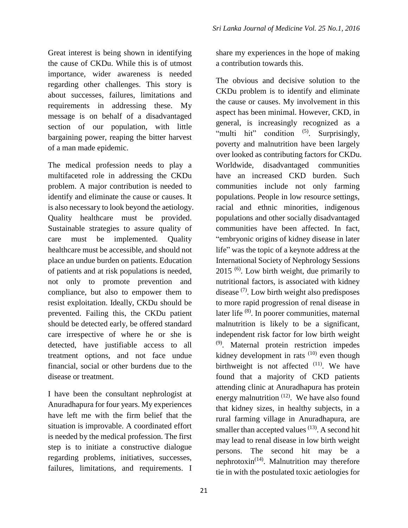Great interest is being shown in identifying the cause of CKDu. While this is of utmost importance, wider awareness is needed regarding other challenges. This story is about successes, failures, limitations and requirements in addressing these. My message is on behalf of a disadvantaged section of our population, with little bargaining power, reaping the bitter harvest of a man made epidemic.

The medical profession needs to play a multifaceted role in addressing the CKDu problem. A major contribution is needed to identify and eliminate the cause or causes. It is also necessary to look beyond the aetiology. Quality healthcare must be provided. Sustainable strategies to assure quality of care must be implemented. Quality healthcare must be accessible, and should not place an undue burden on patients. Education of patients and at risk populations is needed, not only to promote prevention and compliance, but also to empower them to resist exploitation. Ideally, CKDu should be prevented. Failing this, the CKDu patient should be detected early, be offered standard care irrespective of where he or she is detected, have justifiable access to all treatment options, and not face undue financial, social or other burdens due to the disease or treatment.

I have been the consultant nephrologist at Anuradhapura for four years. My experiences have left me with the firm belief that the situation is improvable. A coordinated effort is needed by the medical profession. The first step is to initiate a constructive dialogue regarding problems, initiatives, successes, failures, limitations, and requirements. I

share my experiences in the hope of making a contribution towards this.

The obvious and decisive solution to the CKDu problem is to identify and eliminate the cause or causes. My involvement in this aspect has been minimal. However, CKD, in general, is increasingly recognized as a "multi hit" condition <sup>(5)</sup>. Surprisingly, poverty and malnutrition have been largely over looked as contributing factors for CKDu. Worldwide, disadvantaged communities have an increased CKD burden. Such communities include not only farming populations. People in low resource settings, racial and ethnic minorities, indigenous populations and other socially disadvantaged communities have been affected. In fact, "embryonic origins of kidney disease in later life" was the topic of a keynote address at the International Society of Nephrology Sessions 2015<sup>(6)</sup>. Low birth weight, due primarily to nutritional factors, is associated with kidney disease<sup>(7)</sup>. Low birth weight also predisposes to more rapid progression of renal disease in later life <sup>(8)</sup>. In poorer communities, maternal malnutrition is likely to be a significant, independent risk factor for low birth weight (9) . Maternal protein restriction impedes kidney development in rats  $(10)$  even though birthweight is not affected  $(11)$ . We have found that a majority of CKD patients attending clinic at Anuradhapura has protein energy malnutrition  $(12)$ . We have also found that kidney sizes, in healthy subjects, in a rural farming village in Anuradhapura, are smaller than accepted values  $(13)$ . A second hit may lead to renal disease in low birth weight persons. The second hit may be a nephrotoxin<sup> $(14)$ </sup>. Malnutrition may therefore tie in with the postulated toxic aetiologies for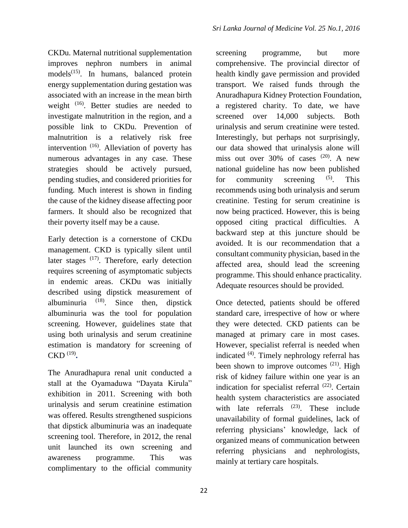CKDu. Maternal nutritional supplementation improves nephron numbers in animal models<sup>(15)</sup>. In humans, balanced protein energy supplementation during gestation was associated with an increase in the mean birth weight <sup>(16)</sup>. Better studies are needed to investigate malnutrition in the region, and a possible link to CKDu. Prevention of malnutrition is a relatively risk free intervention <sup>(16)</sup>. Alleviation of poverty has numerous advantages in any case. These strategies should be actively pursued, pending studies, and considered priorities for funding. Much interest is shown in finding the cause of the kidney disease affecting poor farmers. It should also be recognized that their poverty itself may be a cause.

Early detection is a cornerstone of CKDu management. CKD is typically silent until later stages <sup>(17)</sup>. Therefore, early detection requires screening of asymptomatic subjects in endemic areas. CKDu was initially described using dipstick measurement of albuminuria  $(18)$ . Since then, dipstick albuminuria was the tool for population screening. However, guidelines state that using both urinalysis and serum creatinine estimation is mandatory for screening of CKD (19) **.** 

The Anuradhapura renal unit conducted a stall at the Oyamaduwa "Dayata Kirula" exhibition in 2011. Screening with both urinalysis and serum creatinine estimation was offered. Results strengthened suspicions that dipstick albuminuria was an inadequate screening tool. Therefore, in 2012, the renal unit launched its own screening and awareness programme. This was complimentary to the official community

screening programme, but more comprehensive. The provincial director of health kindly gave permission and provided transport. We raised funds through the Anuradhapura Kidney Protection Foundation, a registered charity. To date, we have screened over 14,000 subjects. Both urinalysis and serum creatinine were tested. Interestingly, but perhaps not surprisingly, our data showed that urinalysis alone will miss out over  $30\%$  of cases  $(20)$ . A new national guideline has now been published for community screening  $(5)$ . . This recommends using both urinalysis and serum creatinine. Testing for serum creatinine is now being practiced. However, this is being opposed citing practical difficulties. A backward step at this juncture should be avoided. It is our recommendation that a consultant community physician, based in the affected area, should lead the screening programme. This should enhance practicality. Adequate resources should be provided.

Once detected, patients should be offered standard care, irrespective of how or where they were detected. CKD patients can be managed at primary care in most cases. However, specialist referral is needed when indicated <sup>(4)</sup>. Timely nephrology referral has been shown to improve outcomes  $(21)$ . High risk of kidney failure within one year is an indication for specialist referral <sup>(22)</sup>. Certain health system characteristics are associated with late referrals  $(23)$ . These include unavailability of formal guidelines, lack of referring physicians' knowledge, lack of organized means of communication between referring physicians and nephrologists, mainly at tertiary care hospitals.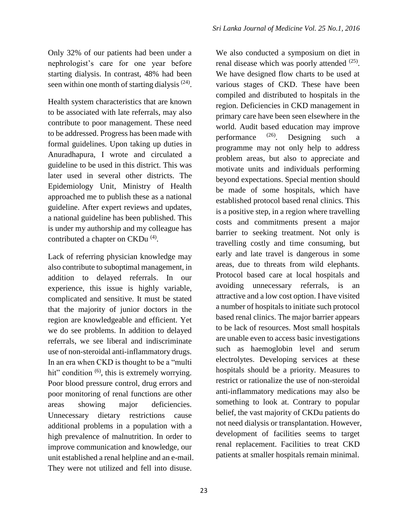# Only 32% of our patients had been under a nephrologist's care for one year before starting dialysis. In contrast, 48% had been seen within one month of starting dialysis  $(24)$ .

Health system characteristics that are known to be associated with late referrals, may also contribute to poor management. These need to be addressed. Progress has been made with formal guidelines. Upon taking up duties in Anuradhapura, I wrote and circulated a guideline to be used in this district. This was later used in several other districts. The Epidemiology Unit, Ministry of Health approached me to publish these as a national guideline. After expert reviews and updates, a national guideline has been published. This is under my authorship and my colleague has contributed a chapter on CKDu<sup>(4)</sup>.

Lack of referring physician knowledge may also contribute to suboptimal management, in addition to delayed referrals. In our experience, this issue is highly variable, complicated and sensitive. It must be stated that the majority of junior doctors in the region are knowledgeable and efficient. Yet we do see problems. In addition to delayed referrals, we see liberal and indiscriminate use of non-steroidal anti-inflammatory drugs. In an era when CKD is thought to be a "multi hit" condition <sup>(6)</sup>, this is extremely worrying. Poor blood pressure control, drug errors and poor monitoring of renal functions are other areas showing major deficiencies. Unnecessary dietary restrictions cause additional problems in a population with a high prevalence of malnutrition. In order to improve communication and knowledge, our unit established a renal helpline and an e-mail. They were not utilized and fell into disuse.

We also conducted a symposium on diet in renal disease which was poorly attended  $(25)$ . We have designed flow charts to be used at various stages of CKD. These have been compiled and distributed to hospitals in the region. Deficiencies in CKD management in primary care have been seen elsewhere in the world. Audit based education may improve performance (26) Designing such programme may not only help to address problem areas, but also to appreciate and motivate units and individuals performing beyond expectations. Special mention should be made of some hospitals, which have established protocol based renal clinics. This is a positive step, in a region where travelling costs and commitments present a major barrier to seeking treatment. Not only is travelling costly and time consuming, but early and late travel is dangerous in some areas, due to threats from wild elephants. Protocol based care at local hospitals and avoiding unnecessary referrals, is an attractive and a low cost option. I have visited a number of hospitals to initiate such protocol based renal clinics. The major barrier appears to be lack of resources. Most small hospitals are unable even to access basic investigations such as haemoglobin level and serum electrolytes. Developing services at these hospitals should be a priority. Measures to restrict or rationalize the use of non-steroidal anti-inflammatory medications may also be something to look at. Contrary to popular belief, the vast majority of CKDu patients do not need dialysis or transplantation. However, development of facilities seems to target renal replacement. Facilities to treat CKD patients at smaller hospitals remain minimal.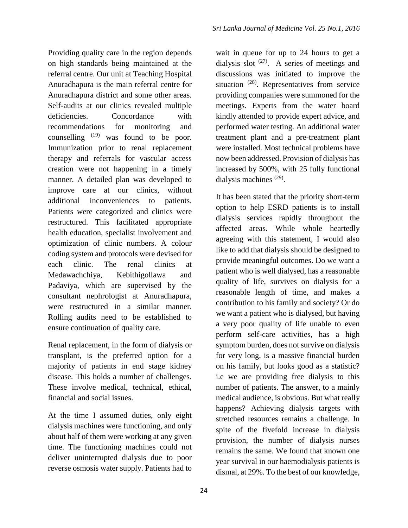Providing quality care in the region depends on high standards being maintained at the referral centre. Our unit at Teaching Hospital Anuradhapura is the main referral centre for Anuradhapura district and some other areas. Self-audits at our clinics revealed multiple deficiencies. Concordance with recommendations for monitoring and counselling  $(19)$  was found to be poor. Immunization prior to renal replacement therapy and referrals for vascular access creation were not happening in a timely manner. A detailed plan was developed to improve care at our clinics, without additional inconveniences to patients. Patients were categorized and clinics were restructured. This facilitated appropriate health education, specialist involvement and optimization of clinic numbers. A colour coding system and protocols were devised for each clinic. The renal clinics at Medawachchiya, Kebithigollawa and Padaviya, which are supervised by the consultant nephrologist at Anuradhapura, were restructured in a similar manner. Rolling audits need to be established to ensure continuation of quality care.

Renal replacement, in the form of dialysis or transplant, is the preferred option for a majority of patients in end stage kidney disease. This holds a number of challenges. These involve medical, technical, ethical, financial and social issues.

At the time I assumed duties, only eight dialysis machines were functioning, and only about half of them were working at any given time. The functioning machines could not deliver uninterrupted dialysis due to poor reverse osmosis water supply. Patients had to

wait in queue for up to 24 hours to get a dialysis slot  $(27)$ . A series of meetings and discussions was initiated to improve the situation <sup>(28)</sup>. Representatives from service providing companies were summoned for the meetings. Experts from the water board kindly attended to provide expert advice, and performed water testing. An additional water treatment plant and a pre-treatment plant were installed. Most technical problems have now been addressed. Provision of dialysis has increased by 500%, with 25 fully functional dialysis machines<sup>(29)</sup>.

It has been stated that the priority short-term option to help ESRD patients is to install dialysis services rapidly throughout the affected areas. While whole heartedly agreeing with this statement, I would also like to add that dialysis should be designed to provide meaningful outcomes. Do we want a patient who is well dialysed, has a reasonable quality of life, survives on dialysis for a reasonable length of time, and makes a contribution to his family and society? Or do we want a patient who is dialysed, but having a very poor quality of life unable to even perform self-care activities, has a high symptom burden, does not survive on dialysis for very long, is a massive financial burden on his family, but looks good as a statistic? i.e we are providing free dialysis to this number of patients. The answer, to a mainly medical audience, is obvious. But what really happens? Achieving dialysis targets with stretched resources remains a challenge. In spite of the fivefold increase in dialysis provision, the number of dialysis nurses remains the same. We found that known one year survival in our haemodialysis patients is dismal, at 29%. To the best of our knowledge,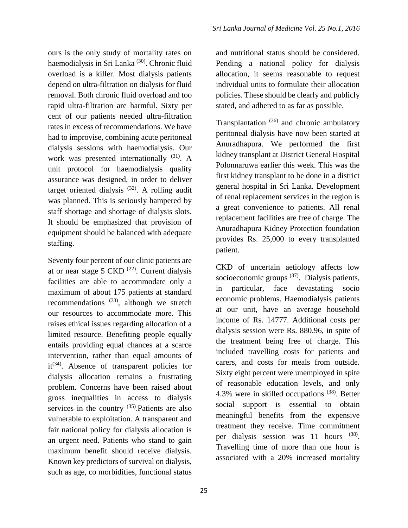ours is the only study of mortality rates on haemodialysis in Sri Lanka<sup>(30)</sup>. Chronic fluid overload is a killer. Most dialysis patients depend on ultra-filtration on dialysis for fluid removal. Both chronic fluid overload and too rapid ultra-filtration are harmful. Sixty per cent of our patients needed ultra-filtration rates in excess of recommendations. We have had to improvise, combining acute peritoneal dialysis sessions with haemodialysis. Our work was presented internationally <sup>(31)</sup>. A unit protocol for haemodialysis quality assurance was designed, in order to deliver target oriented dialysis  $(32)$ . A rolling audit was planned. This is seriously hampered by staff shortage and shortage of dialysis slots. It should be emphasized that provision of equipment should be balanced with adequate staffing.

Seventy four percent of our clinic patients are at or near stage 5 CKD  $(22)$ . Current dialysis facilities are able to accommodate only a maximum of about 175 patients at standard recommendations  $(33)$ , although we stretch our resources to accommodate more. This raises ethical issues regarding allocation of a limited resource. Benefiting people equally entails providing equal chances at a scarce intervention, rather than equal amounts of it<sup>(34)</sup>. Absence of transparent policies for dialysis allocation remains a frustrating problem. Concerns have been raised about gross inequalities in access to dialysis services in the country  $(35)$ . Patients are also vulnerable to exploitation. A transparent and fair national policy for dialysis allocation is an urgent need. Patients who stand to gain maximum benefit should receive dialysis. Known key predictors of survival on dialysis, such as age, co morbidities, functional status

and nutritional status should be considered. Pending a national policy for dialysis allocation, it seems reasonable to request individual units to formulate their allocation policies. These should be clearly and publicly stated, and adhered to as far as possible.

Transplantation<sup>(36)</sup> and chronic ambulatory peritoneal dialysis have now been started at Anuradhapura. We performed the first kidney transplant at District General Hospital Polonnaruwa earlier this week. This was the first kidney transplant to be done in a district general hospital in Sri Lanka. Development of renal replacement services in the region is a great convenience to patients. All renal replacement facilities are free of charge. The Anuradhapura Kidney Protection foundation provides Rs. 25,000 to every transplanted patient.

CKD of uncertain aetiology affects low socioeconomic groups<sup>(37)</sup>. Dialysis patients, in particular, face devastating socio economic problems. Haemodialysis patients at our unit, have an average household income of Rs. 14777. Additional costs per dialysis session were Rs. 880.96, in spite of the treatment being free of charge. This included travelling costs for patients and carers, and costs for meals from outside. Sixty eight percent were unemployed in spite of reasonable education levels, and only 4.3% were in skilled occupations  $(38)$ . Better social support is essential to obtain meaningful benefits from the expensive treatment they receive. Time commitment per dialysis session was 11 hours (38). Travelling time of more than one hour is associated with a 20% increased mortality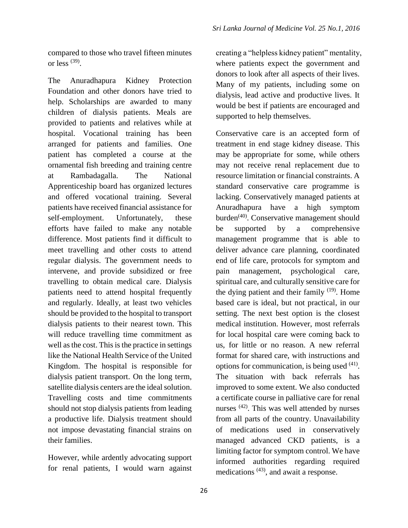compared to those who travel fifteen minutes or less  $^{(39)}$ .

The Anuradhapura Kidney Protection Foundation and other donors have tried to help. Scholarships are awarded to many children of dialysis patients. Meals are provided to patients and relatives while at hospital. Vocational training has been arranged for patients and families. One patient has completed a course at the ornamental fish breeding and training centre at Rambadagalla. The National Apprenticeship board has organized lectures and offered vocational training. Several patients have received financial assistance for self-employment. Unfortunately, these efforts have failed to make any notable difference. Most patients find it difficult to meet travelling and other costs to attend regular dialysis. The government needs to intervene, and provide subsidized or free travelling to obtain medical care. Dialysis patients need to attend hospital frequently and regularly. Ideally, at least two vehicles should be provided to the hospital to transport dialysis patients to their nearest town. This will reduce travelling time commitment as well as the cost. This is the practice in settings like the National Health Service of the United Kingdom. The hospital is responsible for dialysis patient transport. On the long term, satellite dialysis centers are the ideal solution. Travelling costs and time commitments should not stop dialysis patients from leading a productive life. Dialysis treatment should not impose devastating financial strains on their families.

However, while ardently advocating support for renal patients, I would warn against creating a "helpless kidney patient" mentality, where patients expect the government and donors to look after all aspects of their lives. Many of my patients, including some on dialysis, lead active and productive lives. It would be best if patients are encouraged and supported to help themselves.

Conservative care is an accepted form of treatment in end stage kidney disease. This may be appropriate for some, while others may not receive renal replacement due to resource limitation or financial constraints. A standard conservative care programme is lacking. Conservatively managed patients at Anuradhapura have a high symptom burden<sup>(40)</sup>. Conservative management should be supported by a comprehensive management programme that is able to deliver advance care planning, coordinated end of life care, protocols for symptom and pain management, psychological care, spiritual care, and culturally sensitive care for the dying patient and their family  $(19)$ . Home based care is ideal, but not practical, in our setting. The next best option is the closest medical institution. However, most referrals for local hospital care were coming back to us, for little or no reason. A new referral format for shared care, with instructions and options for communication, is being used <sup>(41)</sup>. The situation with back referrals has improved to some extent. We also conducted a certificate course in palliative care for renal nurses<sup>(42)</sup>. This was well attended by nurses from all parts of the country. Unavailability of medications used in conservatively managed advanced CKD patients, is a limiting factor for symptom control. We have informed authorities regarding required medications <sup>(43)</sup>, and await a response.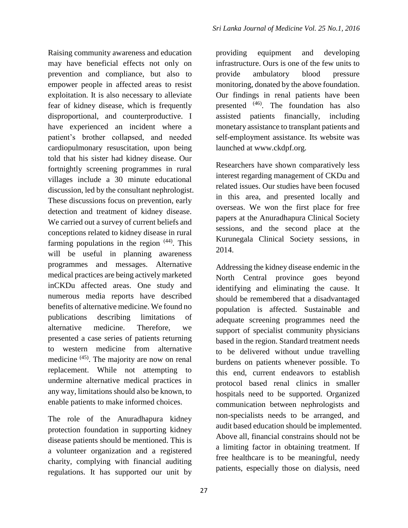Raising community awareness and education may have beneficial effects not only on prevention and compliance, but also to empower people in affected areas to resist exploitation. It is also necessary to alleviate fear of kidney disease, which is frequently disproportional, and counterproductive. I have experienced an incident where a patient's brother collapsed, and needed cardiopulmonary resuscitation, upon being told that his sister had kidney disease. Our fortnightly screening programmes in rural villages include a 30 minute educational discussion, led by the consultant nephrologist. These discussions focus on prevention, early detection and treatment of kidney disease. We carried out a survey of current beliefs and conceptions related to kidney disease in rural farming populations in the region <sup>(44)</sup>. This will be useful in planning awareness programmes and messages. Alternative medical practices are being actively marketed inCKDu affected areas. One study and numerous media reports have described benefits of alternative medicine. We found no publications describing limitations of alternative medicine. Therefore, we presented a case series of patients returning to western medicine from alternative medicine <sup>(45)</sup>. The majority are now on renal replacement. While not attempting to undermine alternative medical practices in any way, limitations should also be known, to enable patients to make informed choices.

The role of the Anuradhapura kidney protection foundation in supporting kidney disease patients should be mentioned. This is a volunteer organization and a registered charity, complying with financial auditing regulations. It has supported our unit by

providing equipment and developing infrastructure. Ours is one of the few units to provide ambulatory blood pressure monitoring, donated by the above foundation. Our findings in renal patients have been presented <sup>(46)</sup>. The foundation has also assisted patients financially, including monetary assistance to transplant patients and self-employment assistance. Its website was launched at www.ckdpf.org.

Researchers have shown comparatively less interest regarding management of CKDu and related issues. Our studies have been focused in this area, and presented locally and overseas. We won the first place for free papers at the Anuradhapura Clinical Society sessions, and the second place at the Kurunegala Clinical Society sessions, in 2014.

Addressing the kidney disease endemic in the North Central province goes beyond identifying and eliminating the cause. It should be remembered that a disadvantaged population is affected. Sustainable and adequate screening programmes need the support of specialist community physicians based in the region. Standard treatment needs to be delivered without undue travelling burdens on patients whenever possible. To this end, current endeavors to establish protocol based renal clinics in smaller hospitals need to be supported. Organized communication between nephrologists and non-specialists needs to be arranged, and audit based education should be implemented. Above all, financial constrains should not be a limiting factor in obtaining treatment. If free healthcare is to be meaningful, needy patients, especially those on dialysis, need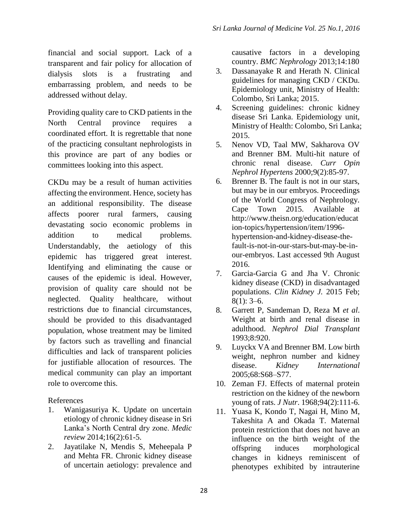financial and social support. Lack of a transparent and fair policy for allocation of dialysis slots is a frustrating and embarrassing problem, and needs to be addressed without delay.

Providing quality care to CKD patients in the North Central province requires a coordinated effort. It is regrettable that none of the practicing consultant nephrologists in this province are part of any bodies or committees looking into this aspect.

CKDu may be a result of human activities affecting the environment. Hence, society has an additional responsibility. The disease affects poorer rural farmers, causing devastating socio economic problems in addition to medical problems. Understandably, the aetiology of this epidemic has triggered great interest. Identifying and eliminating the cause or causes of the epidemic is ideal. However, provision of quality care should not be neglected. Quality healthcare, without restrictions due to financial circumstances, should be provided to this disadvantaged population, whose treatment may be limited by factors such as travelling and financial difficulties and lack of transparent policies for justifiable allocation of resources. The medical community can play an important role to overcome this.

References

- 1. Wanigasuriya K. Update on uncertain etiology of chronic kidney disease in Sri Lanka's North Central dry zone. *Medic review* 2014;16(2):61-5.
- 2. Jayatilake N, Mendis S, Meheepala P and Mehta FR. Chronic kidney disease of uncertain aetiology: prevalence and

causative factors in a developing country. *BMC Nephrology* 2013;14:180

- 3. Dassanayake R and Herath N. Clinical guidelines for managing CKD / CKDu. Epidemiology unit, Ministry of Health: Colombo, Sri Lanka; 2015.
- 4. Screening guidelines: chronic kidney disease Sri Lanka. Epidemiology unit, Ministry of Health: Colombo, Sri Lanka; 2015.
- 5. Nenov VD, Taal MW, Sakharova OV and Brenner BM. Multi-hit nature of chronic renal disease. *Curr Opin Nephrol Hypertens* 2000;9(2):85-97.
- 6. Brenner B. The fault is not in our stars, but may be in our embryos. Proceedings of the World Congress of Nephrology. Cape Town 2015. Available at http://www.theisn.org/education/educat ion-topics/hypertension/item/1996 hypertension-and-kidney-disease-thefault-is-not-in-our-stars-but-may-be-inour-embryos. Last accessed 9th August 2016.
- 7. Garcia-Garcia G and Jha V. Chronic kidney disease (CKD) in disadvantaged populations. *Clin Kidney J.* 2015 Feb;  $8(1)$ : 3–6.
- 8. Garrett P, Sandeman D, Reza M *et al*. Weight at birth and renal disease in adulthood. *Nephrol Dial Transplant*  1993;8:920.
- 9. Luyckx VA and Brenner BM. Low birth weight, nephron number and kidney disease. *Kidney International* 2005;68:S68–S77.
- 10. Zeman FJ. Effects of maternal protein restriction on the kidney of the newborn young of rats. *J Nutr*. 1968;94(2):111-6.
- 11. Yuasa K, Kondo T, Nagai H, Mino M, Takeshita A and Okada T. Maternal protein restriction that does not have an influence on the birth weight of the offspring induces morphological changes in kidneys reminiscent of phenotypes exhibited by intrauterine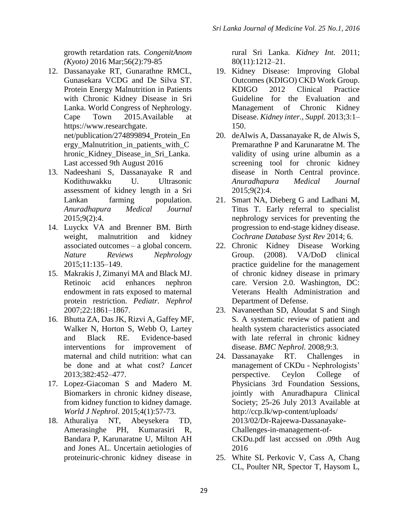growth retardation rats. *CongenitAnom (Kyoto)* 2016 Mar;56(2):79-85

- 12. Dassanayake RT, Gunarathne RMCL, Gunasekara VCDG and De Silva ST. Protein Energy Malnutrition in Patients with Chronic Kidney Disease in Sri Lanka. World Congress of Nephrology. Cape Town 2015.Available at https://www.researchgate. net/publication/274899894\_Protein\_En ergy\_Malnutrition\_in\_patients\_with\_C hronic Kidney Disease in Sri Lanka. Last accessed 9th August 2016
- 13. Nadeeshani S, Dassanayake R and Kodithuwakku U. Ultrasonic assessment of kidney length in a Sri Lankan farming population. *Anuradhapura Medical Journal* 2015;9(2):4.
- 14. Luyckx VA and Brenner BM. Birth weight, malnutrition and kidney associated outcomes – a global concern. *Nature Reviews Nephrology*  2015;11:135–149.
- 15. Makrakis J, Zimanyi MA and Black MJ. Retinoic acid enhances nephron endowment in rats exposed to maternal protein restriction. *Pediatr. Nephrol* 2007;22:1861–1867.
- 16. Bhutta ZA, Das JK, Rizvi A, Gaffey MF, Walker N, Horton S, Webb O, Lartey and Black RE. Evidence-based interventions for improvement of maternal and child nutrition: what can be done and at what cost? *Lancet*  2013;382:452–477.
- 17. Lopez-Giacoman S and Madero M. Biomarkers in chronic kidney disease, from kidney function to kidney damage. *World J Nephrol*. 2015;4(1):57-73.
- 18. Athuraliya NT, Abeysekera TD, Amerasinghe PH, Kumarasiri R, Bandara P, Karunaratne U, Milton AH and Jones AL. Uncertain aetiologies of proteinuric-chronic kidney disease in

rural Sri Lanka. *Kidney Int.* 2011; 80(11):1212–21.

- 19. Kidney Disease: Improving Global Outcomes (KDIGO) CKD Work Group. KDIGO 2012 Clinical Practice Guideline for the Evaluation and Management of Chronic Kidney Disease. *Kidney inter., Suppl.* 2013;3:1– 150.
- 20. deAlwis A, Dassanayake R, de Alwis S, Premarathne P and Karunaratne M. The validity of using urine albumin as a screening tool for chronic kidney disease in North Central province. *Anuradhapura Medical Journal*  2015;9(2):4.
- 21. Smart NA, Dieberg G and Ladhani M, Titus T. Early referral to specialist nephrology services for preventing the progression to end-stage kidney disease. *Cochrane Database Syst Rev* 2014; 6.
- 22. Chronic Kidney Disease Working Group. (2008). VA/DoD clinical practice guideline for the management of chronic kidney disease in primary care. Version 2.0. Washington, DC: Veterans Health Administration and Department of Defense.
- 23. Navaneethan SD, Aloudat S and Singh S. A systematic review of patient and health system characteristics associated with late referral in chronic kidney disease. *BMC Nephrol.* 2008;9:3.
- 24. Dassanayake RT. Challenges in management of CKDu - Nephrologists' perspective. Ceylon College of Physicians 3rd Foundation Sessions, jointly with Anuradhapura Clinical Society; 25-26 July 2013 Available at [http://ccp.lk/wp-content/uploads/](http://ccp.lk/wp-content/uploads/%202013/02/Dr-Rajeewa-Dassanayake-Challenges-in-management-of-CKDu.pdf%20last%20accssed%20on%20.09th)  [2013/02/Dr-Rajeewa-Dassanayake-](http://ccp.lk/wp-content/uploads/%202013/02/Dr-Rajeewa-Dassanayake-Challenges-in-management-of-CKDu.pdf%20last%20accssed%20on%20.09th)[Challenges-in-management-of-](http://ccp.lk/wp-content/uploads/%202013/02/Dr-Rajeewa-Dassanayake-Challenges-in-management-of-CKDu.pdf%20last%20accssed%20on%20.09th)[CKDu.pdf last accssed on .09th](http://ccp.lk/wp-content/uploads/%202013/02/Dr-Rajeewa-Dassanayake-Challenges-in-management-of-CKDu.pdf%20last%20accssed%20on%20.09th) Aug 2016
- 25. White SL Perkovic V, Cass A, Chang CL, Poulter NR, Spector T, Haysom L,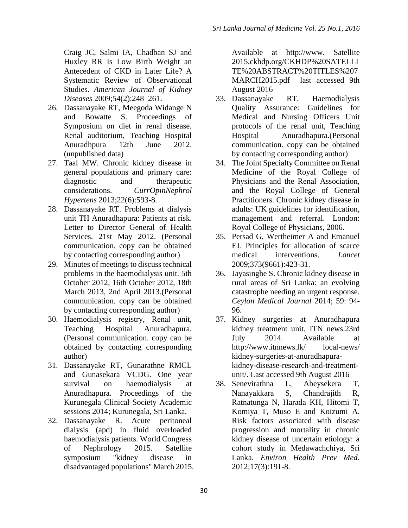Craig JC, Salmi IA, Chadban SJ and Huxley RR Is Low Birth Weight an Antecedent of CKD in Later Life? A Systematic Review of Observational Studies. *American Journal of Kidney Diseases* 2009;54(2):248–261.

- 26. Dassanayake RT, Meegoda Widange N and Bowatte S. Proceedings of Symposium on diet in renal disease. Renal auditorium, Teaching Hospital Anuradhpura 12th June 2012. (unpublished data)
- 27. Taal MW. Chronic kidney disease in general populations and primary care: diagnostic and therapeutic considerations. *CurrOpinNephrol Hypertens* 2013;22(6):593-8.
- 28. Dassanayake RT. Problems at dialysis unit TH Anuradhapura: Patients at risk. Letter to Director General of Health Services. 21st May 2012. (Personal communication. copy can be obtained by contacting corresponding author)
- 29. Minutes of meetings to discuss technical problems in the haemodialysis unit. 5th October 2012, 16th October 2012, 18th March 2013, 2nd April 2013.(Personal communication. copy can be obtained by contacting corresponding author)
- 30. Haemodialysis registry, Renal unit, Teaching Hospital Anuradhapura. (Personal communication. copy can be obtained by contacting corresponding author)
- 31. Dassanayake RT, Gunarathne RMCL and Gunasekara VCDG. One year survival on haemodialysis at Anuradhapura. Proceedings of the Kurunegala Clinical Society Academic sessions 2014; Kurunegala, Sri Lanka.
- 32. Dassanayake R. Acute peritoneal dialysis (apd) in fluid overloaded haemodialysis patients. World Congress of Nephrology 2015. Satellite symposium "kidney disease in disadvantaged populations" March 2015.

Available at [http://www.](http://www/) Satellite 2015.ckhdp.org/CKHDP%20SATELLI TE%20ABSTRACT%20TITLES%207 MARCH2015.pdf last accessed 9th August 2016

- 33. Dassanayake RT. Haemodialysis Quality Assurance: Guidelines for Medical and Nursing Officers Unit protocols of the renal unit, Teaching Hospital Anuradhapura.(Personal communication. copy can be obtained by contacting corresponding author)
- 34. The Joint Specialty Committee on Renal Medicine of the Royal College of Physicians and the Renal Association, and the Royal College of General Practitioners. Chronic kidney disease in adults: UK guidelines for identification, management and referral. London: Royal College of Physicians, 2006.
- 35. Persad G, Wertheimer A and Emanuel EJ. Principles for allocation of scarce medical interventions. *Lancet* 2009;373(9661):423-31.
- 36. Jayasinghe S. Chronic kidney disease in rural areas of Sri Lanka: an evolving catastrophe needing an urgent response. *Ceylon Medical Journal* 2014; 59: 94- 96.
- 37. Kidney surgeries at Anuradhapura kidney treatment unit. ITN news.23rd July 2014. Available at http://www.itnnews.lk/ local-news/ kidney-surgeries-at-anuradhapurakidney-disease-research-and-treatmentunit/. Last accessed 9th August 2016
- 38. Senevirathna L, Abeysekera T, Nanayakkara S, Chandrajith R, Ratnatunga N, Harada KH, Hitomi T, Komiya T, Muso E and Koizumi A. Risk factors associated with disease progression and mortality in chronic kidney disease of uncertain etiology: a cohort study in Medawachchiya, Sri Lanka. *Environ Health Prev Med*. 2012;17(3):191-8.